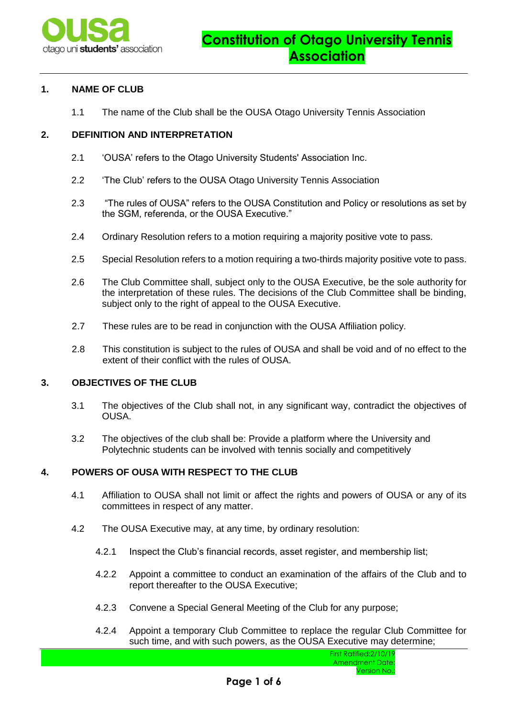

## **1. NAME OF CLUB**

1.1 The name of the Club shall be the OUSA Otago University Tennis Association

## **2. DEFINITION AND INTERPRETATION**

- 2.1 'OUSA' refers to the Otago University Students' Association Inc.
- 2.2 'The Club' refers to the OUSA Otago University Tennis Association
- 2.3 "The rules of OUSA" refers to the OUSA Constitution and Policy or resolutions as set by the SGM, referenda, or the OUSA Executive."
- 2.4 Ordinary Resolution refers to a motion requiring a majority positive vote to pass.
- 2.5 Special Resolution refers to a motion requiring a two-thirds majority positive vote to pass.
- 2.6 The Club Committee shall, subject only to the OUSA Executive, be the sole authority for the interpretation of these rules. The decisions of the Club Committee shall be binding, subject only to the right of appeal to the OUSA Executive.
- 2.7 These rules are to be read in conjunction with the OUSA Affiliation policy.
- 2.8 This constitution is subject to the rules of OUSA and shall be void and of no effect to the extent of their conflict with the rules of OUSA.

### **3. OBJECTIVES OF THE CLUB**

- 3.1 The objectives of the Club shall not, in any significant way, contradict the objectives of OUSA.
- 3.2 The objectives of the club shall be: Provide a platform where the University and Polytechnic students can be involved with tennis socially and competitively

## **4. POWERS OF OUSA WITH RESPECT TO THE CLUB**

- 4.1 Affiliation to OUSA shall not limit or affect the rights and powers of OUSA or any of its committees in respect of any matter.
- 4.2 The OUSA Executive may, at any time, by ordinary resolution:
	- 4.2.1 Inspect the Club's financial records, asset register, and membership list;
	- 4.2.2 Appoint a committee to conduct an examination of the affairs of the Club and to report thereafter to the OUSA Executive;
	- 4.2.3 Convene a Special General Meeting of the Club for any purpose;
	- 4.2.4 Appoint a temporary Club Committee to replace the regular Club Committee for such time, and with such powers, as the OUSA Executive may determine;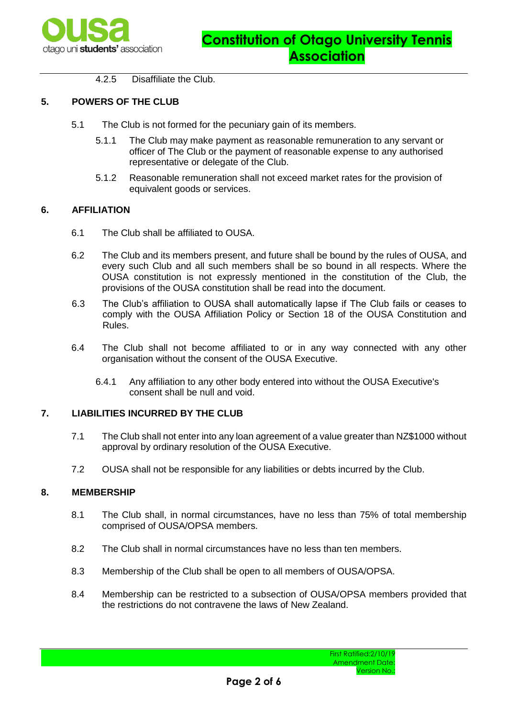

4.2.5 Disaffiliate the Club.

# **5. POWERS OF THE CLUB**

- 5.1 The Club is not formed for the pecuniary gain of its members.
	- 5.1.1 The Club may make payment as reasonable remuneration to any servant or officer of The Club or the payment of reasonable expense to any authorised representative or delegate of the Club.
	- 5.1.2 Reasonable remuneration shall not exceed market rates for the provision of equivalent goods or services.

## **6. AFFILIATION**

- 6.1 The Club shall be affiliated to OUSA.
- 6.2 The Club and its members present, and future shall be bound by the rules of OUSA, and every such Club and all such members shall be so bound in all respects. Where the OUSA constitution is not expressly mentioned in the constitution of the Club, the provisions of the OUSA constitution shall be read into the document.
- 6.3 The Club's affiliation to OUSA shall automatically lapse if The Club fails or ceases to comply with the OUSA Affiliation Policy or Section 18 of the OUSA Constitution and Rules.
- 6.4 The Club shall not become affiliated to or in any way connected with any other organisation without the consent of the OUSA Executive.
	- 6.4.1 Any affiliation to any other body entered into without the OUSA Executive's consent shall be null and void.

## **7. LIABILITIES INCURRED BY THE CLUB**

- 7.1 The Club shall not enter into any loan agreement of a value greater than NZ\$1000 without approval by ordinary resolution of the OUSA Executive.
- 7.2 OUSA shall not be responsible for any liabilities or debts incurred by the Club.

## **8. MEMBERSHIP**

- 8.1 The Club shall, in normal circumstances, have no less than 75% of total membership comprised of OUSA/OPSA members.
- 8.2 The Club shall in normal circumstances have no less than ten members.
- 8.3 Membership of the Club shall be open to all members of OUSA/OPSA.
- 8.4 Membership can be restricted to a subsection of OUSA/OPSA members provided that the restrictions do not contravene the laws of New Zealand.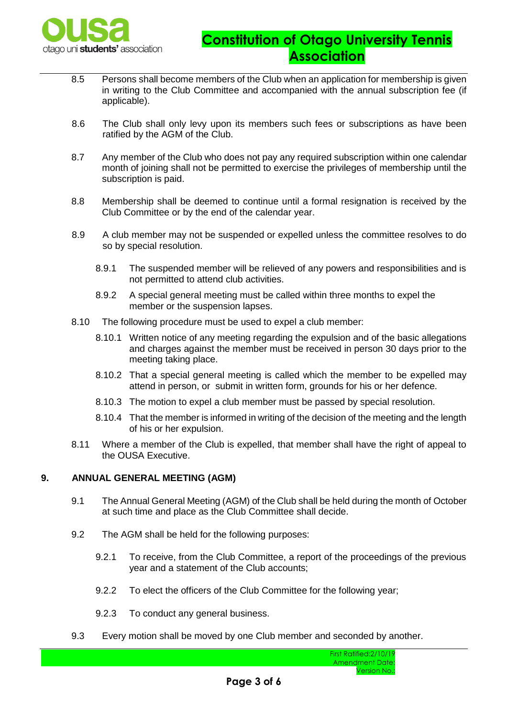

- 8.5 Persons shall become members of the Club when an application for membership is given in writing to the Club Committee and accompanied with the annual subscription fee (if applicable).
- 8.6 The Club shall only levy upon its members such fees or subscriptions as have been ratified by the AGM of the Club.
- 8.7 Any member of the Club who does not pay any required subscription within one calendar month of joining shall not be permitted to exercise the privileges of membership until the subscription is paid.
- 8.8 Membership shall be deemed to continue until a formal resignation is received by the Club Committee or by the end of the calendar year.
- 8.9 A club member may not be suspended or expelled unless the committee resolves to do so by special resolution.
	- 8.9.1 The suspended member will be relieved of any powers and responsibilities and is not permitted to attend club activities.
	- 8.9.2 A special general meeting must be called within three months to expel the member or the suspension lapses.
- 8.10 The following procedure must be used to expel a club member:
	- 8.10.1 Written notice of any meeting regarding the expulsion and of the basic allegations and charges against the member must be received in person 30 days prior to the meeting taking place.
	- 8.10.2 That a special general meeting is called which the member to be expelled may attend in person, or submit in written form, grounds for his or her defence.
	- 8.10.3 The motion to expel a club member must be passed by special resolution.
	- 8.10.4 That the member is informed in writing of the decision of the meeting and the length of his or her expulsion.
- 8.11 Where a member of the Club is expelled, that member shall have the right of appeal to the OUSA Executive.

# **9. ANNUAL GENERAL MEETING (AGM)**

- 9.1 The Annual General Meeting (AGM) of the Club shall be held during the month of October at such time and place as the Club Committee shall decide.
- 9.2 The AGM shall be held for the following purposes:
	- 9.2.1 To receive, from the Club Committee, a report of the proceedings of the previous year and a statement of the Club accounts;
	- 9.2.2 To elect the officers of the Club Committee for the following year;
	- 9.2.3 To conduct any general business.
- 9.3 Every motion shall be moved by one Club member and seconded by another.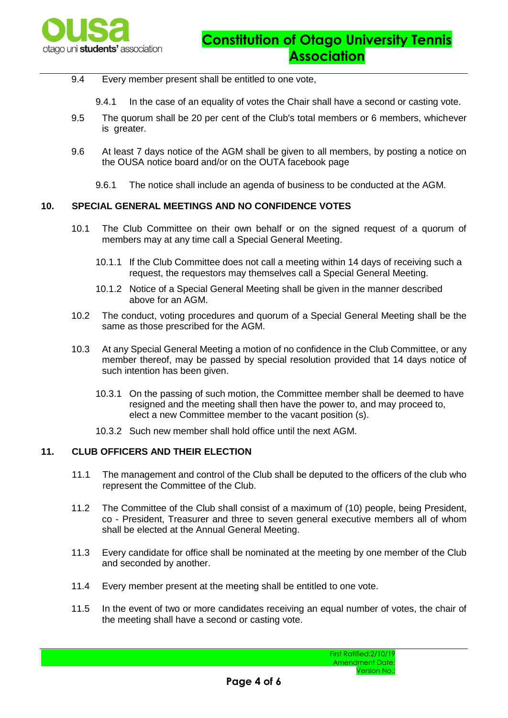

- 9.4 Every member present shall be entitled to one vote,
	- 9.4.1 In the case of an equality of votes the Chair shall have a second or casting vote.
- 9.5 The quorum shall be 20 per cent of the Club's total members or 6 members, whichever is greater.
- 9.6 At least 7 days notice of the AGM shall be given to all members, by posting a notice on the OUSA notice board and/or on the OUTA facebook page
	- 9.6.1 The notice shall include an agenda of business to be conducted at the AGM.

## **10. SPECIAL GENERAL MEETINGS AND NO CONFIDENCE VOTES**

- 10.1 The Club Committee on their own behalf or on the signed request of a quorum of members may at any time call a Special General Meeting.
	- 10.1.1 If the Club Committee does not call a meeting within 14 days of receiving such a request, the requestors may themselves call a Special General Meeting.
	- 10.1.2 Notice of a Special General Meeting shall be given in the manner described above for an AGM.
- 10.2 The conduct, voting procedures and quorum of a Special General Meeting shall be the same as those prescribed for the AGM.
- 10.3 At any Special General Meeting a motion of no confidence in the Club Committee, or any member thereof, may be passed by special resolution provided that 14 days notice of such intention has been given.
	- 10.3.1 On the passing of such motion, the Committee member shall be deemed to have resigned and the meeting shall then have the power to, and may proceed to, elect a new Committee member to the vacant position (s).
	- 10.3.2 Such new member shall hold office until the next AGM.

#### **11. CLUB OFFICERS AND THEIR ELECTION**

- 11.1 The management and control of the Club shall be deputed to the officers of the club who represent the Committee of the Club.
- 11.2 The Committee of the Club shall consist of a maximum of (10) people, being President, co - President, Treasurer and three to seven general executive members all of whom shall be elected at the Annual General Meeting.
- 11.3 Every candidate for office shall be nominated at the meeting by one member of the Club and seconded by another.
- 11.4 Every member present at the meeting shall be entitled to one vote.
- 11.5 In the event of two or more candidates receiving an equal number of votes, the chair of the meeting shall have a second or casting vote.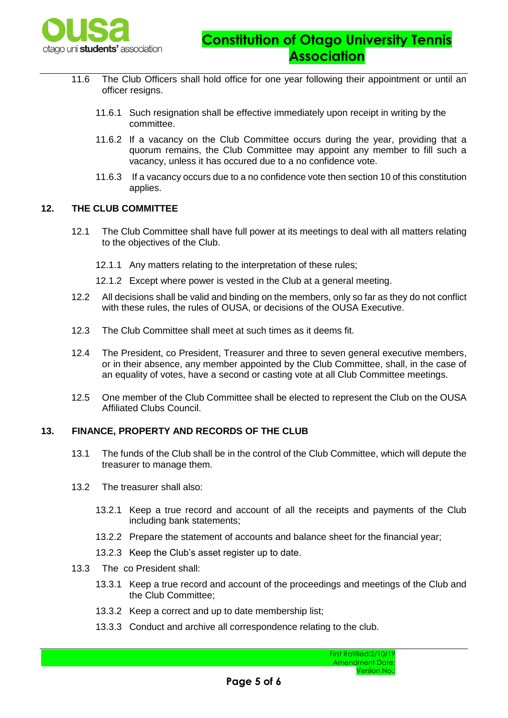

- 11.6 The Club Officers shall hold office for one year following their appointment or until an officer resigns.
	- 11.6.1 Such resignation shall be effective immediately upon receipt in writing by the committee.
	- 11.6.2 If a vacancy on the Club Committee occurs during the year, providing that a quorum remains, the Club Committee may appoint any member to fill such a vacancy, unless it has occured due to a no confidence vote.
	- 11.6.3 If a vacancy occurs due to a no confidence vote then section 10 of this constitution applies.

### **12. THE CLUB COMMITTEE**

- 12.1 The Club Committee shall have full power at its meetings to deal with all matters relating to the objectives of the Club.
	- 12.1.1 Any matters relating to the interpretation of these rules;
	- 12.1.2 Except where power is vested in the Club at a general meeting.
- 12.2 All decisions shall be valid and binding on the members, only so far as they do not conflict with these rules, the rules of OUSA, or decisions of the OUSA Executive.
- 12.3 The Club Committee shall meet at such times as it deems fit.
- 12.4 The President, co President, Treasurer and three to seven general executive members, or in their absence, any member appointed by the Club Committee, shall, in the case of an equality of votes, have a second or casting vote at all Club Committee meetings.
- 12.5 One member of the Club Committee shall be elected to represent the Club on the OUSA Affiliated Clubs Council.

#### **13. FINANCE, PROPERTY AND RECORDS OF THE CLUB**

- 13.1 The funds of the Club shall be in the control of the Club Committee, which will depute the treasurer to manage them.
- 13.2 The treasurer shall also:
	- 13.2.1 Keep a true record and account of all the receipts and payments of the Club including bank statements;
	- 13.2.2 Prepare the statement of accounts and balance sheet for the financial year;
	- 13.2.3 Keep the Club's asset register up to date.
- 13.3 The co President shall:
	- 13.3.1 Keep a true record and account of the proceedings and meetings of the Club and the Club Committee;
	- 13.3.2 Keep a correct and up to date membership list;
	- 13.3.3 Conduct and archive all correspondence relating to the club.